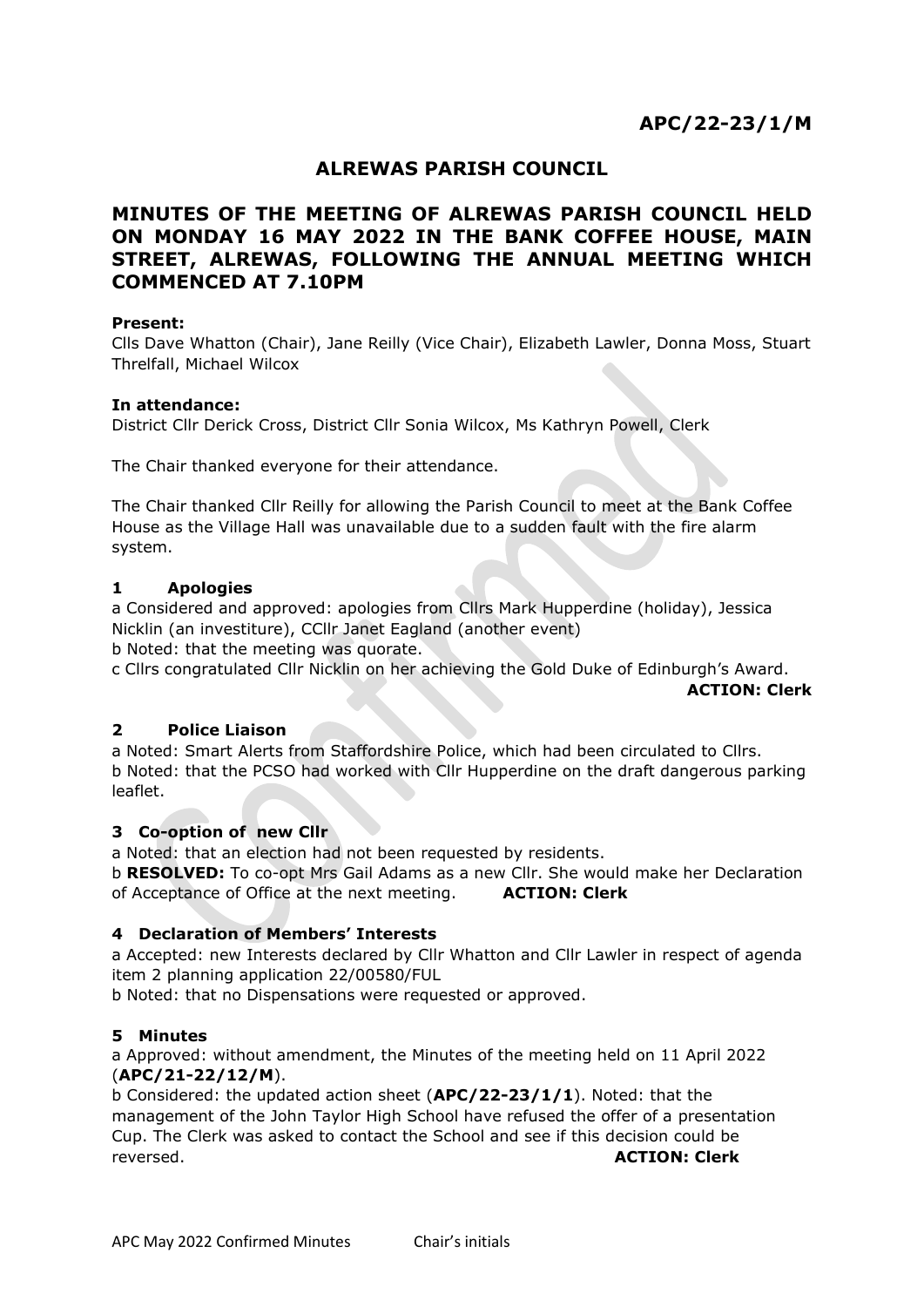# **ALREWAS PARISH COUNCIL**

# **MINUTES OF THE MEETING OF ALREWAS PARISH COUNCIL HELD ON MONDAY 16 MAY 2022 IN THE BANK COFFEE HOUSE, MAIN STREET, ALREWAS, FOLLOWING THE ANNUAL MEETING WHICH COMMENCED AT 7.10PM**

#### **Present:**

Clls Dave Whatton (Chair), Jane Reilly (Vice Chair), Elizabeth Lawler, Donna Moss, Stuart Threlfall, Michael Wilcox

#### **In attendance:**

District Cllr Derick Cross, District Cllr Sonia Wilcox, Ms Kathryn Powell, Clerk

The Chair thanked everyone for their attendance.

The Chair thanked Cllr Reilly for allowing the Parish Council to meet at the Bank Coffee House as the Village Hall was unavailable due to a sudden fault with the fire alarm system.

#### **1 Apologies**

a Considered and approved: apologies from Cllrs Mark Hupperdine (holiday), Jessica Nicklin (an investiture), CCllr Janet Eagland (another event)

b Noted: that the meeting was quorate.

c Cllrs congratulated Cllr Nicklin on her achieving the Gold Duke of Edinburgh's Award.

**ACTION: Clerk**

#### **2 Police Liaison**

a Noted: Smart Alerts from Staffordshire Police, which had been circulated to Cllrs. b Noted: that the PCSO had worked with Cllr Hupperdine on the draft dangerous parking leaflet.

#### **3 Co-option of new Cllr**

a Noted: that an election had not been requested by residents.

b **RESOLVED:** To co-opt Mrs Gail Adams as a new Cllr. She would make her Declaration of Acceptance of Office at the next meeting. **ACTION: Clerk** 

# **4 Declaration of Members' Interests**

a Accepted: new Interests declared by Cllr Whatton and Cllr Lawler in respect of agenda item 2 planning application 22/00580/FUL

b Noted: that no Dispensations were requested or approved.

#### **5 Minutes**

a Approved: without amendment, the Minutes of the meeting held on 11 April 2022 (**APC/21-22/12/M**).

b Considered: the updated action sheet (**APC/22-23/1/1**). Noted: that the management of the John Taylor High School have refused the offer of a presentation Cup. The Clerk was asked to contact the School and see if this decision could be reversed. **ACTION: Clerk**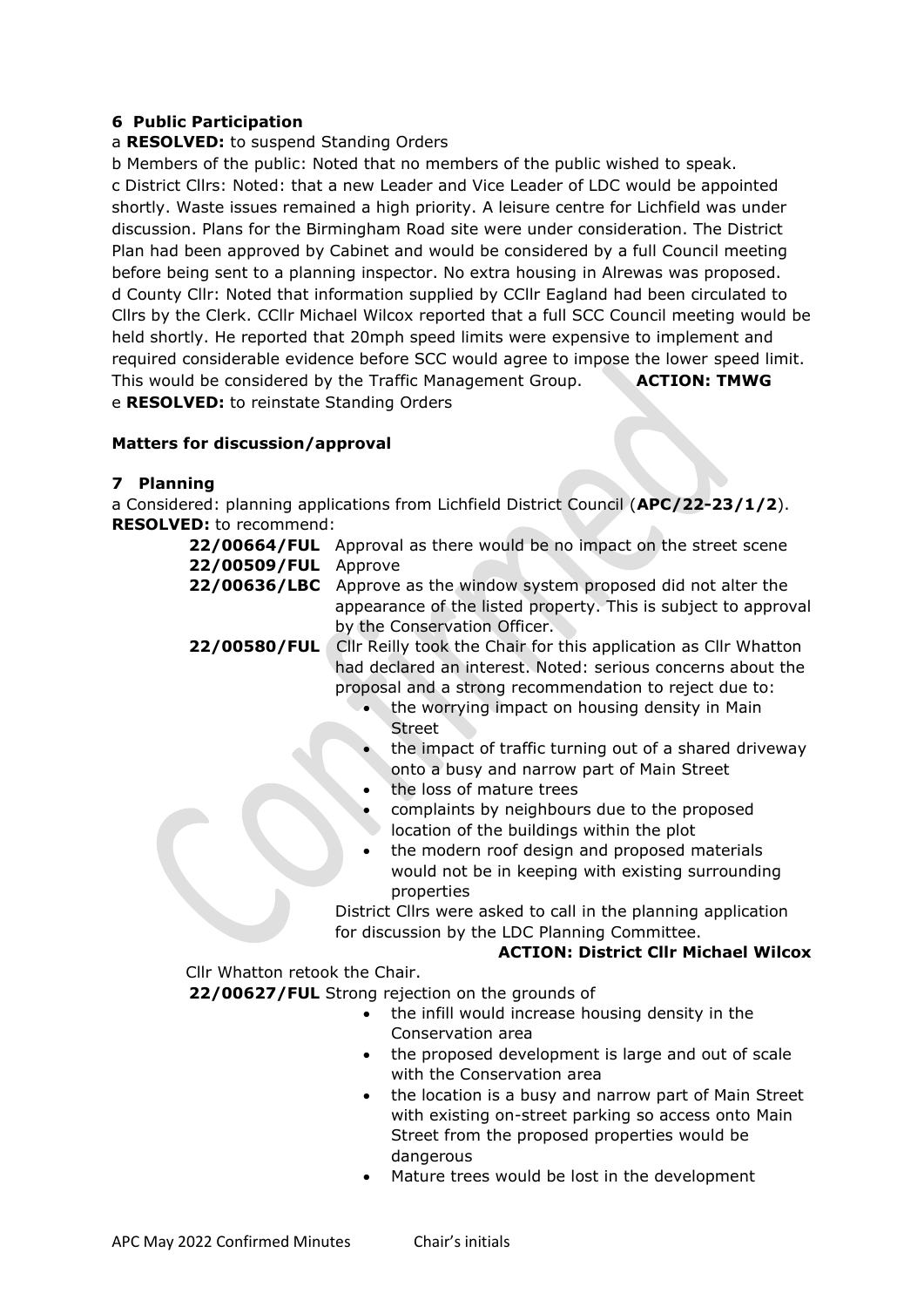# **6 Public Participation**

# a **RESOLVED:** to suspend Standing Orders

b Members of the public: Noted that no members of the public wished to speak. c District Cllrs: Noted: that a new Leader and Vice Leader of LDC would be appointed shortly. Waste issues remained a high priority. A leisure centre for Lichfield was under discussion. Plans for the Birmingham Road site were under consideration. The District Plan had been approved by Cabinet and would be considered by a full Council meeting before being sent to a planning inspector. No extra housing in Alrewas was proposed. d County Cllr: Noted that information supplied by CCllr Eagland had been circulated to Cllrs by the Clerk. CCllr Michael Wilcox reported that a full SCC Council meeting would be held shortly. He reported that 20mph speed limits were expensive to implement and required considerable evidence before SCC would agree to impose the lower speed limit. This would be considered by the Traffic Management Group. **ACTION: TMWG** e **RESOLVED:** to reinstate Standing Orders

# **Matters for discussion/approval**

# **7 Planning**

a Considered: planning applications from Lichfield District Council (**APC/22-23/1/2**). **RESOLVED:** to recommend:

|                                                 | 22/00664/FUL Approval as there would be no impact on the street scene                                                                                                                                                                                       |
|-------------------------------------------------|-------------------------------------------------------------------------------------------------------------------------------------------------------------------------------------------------------------------------------------------------------------|
| 22/00509/FUL                                    | Approve                                                                                                                                                                                                                                                     |
| 22/00636/LBC                                    | Approve as the window system proposed did not alter the<br>appearance of the listed property. This is subject to approval<br>by the Conservation Officer.                                                                                                   |
| 22/00580/FUL                                    | Cllr Reilly took the Chair for this application as Cllr Whatton<br>had declared an interest. Noted: serious concerns about the<br>proposal and a strong recommendation to reject due to:<br>the worrying impact on housing density in Main<br><b>Street</b> |
|                                                 | the impact of traffic turning out of a shared driveway<br>onto a busy and narrow part of Main Street<br>the loss of mature trees                                                                                                                            |
|                                                 | complaints by neighbours due to the proposed                                                                                                                                                                                                                |
|                                                 | location of the buildings within the plot                                                                                                                                                                                                                   |
|                                                 | the modern roof design and proposed materials                                                                                                                                                                                                               |
|                                                 | would not be in keeping with existing surrounding<br>properties                                                                                                                                                                                             |
|                                                 | District Cllrs were asked to call in the planning application                                                                                                                                                                                               |
|                                                 | for discussion by the LDC Planning Committee.                                                                                                                                                                                                               |
|                                                 | <b>ACTION: District Cllr Michael Wilcox</b>                                                                                                                                                                                                                 |
| Cllr Whatton retook the Chair.                  |                                                                                                                                                                                                                                                             |
| 22/00627/FUL Strong rejection on the grounds of |                                                                                                                                                                                                                                                             |
|                                                 | the infill would increase housing density in the                                                                                                                                                                                                            |
|                                                 | Conservation area                                                                                                                                                                                                                                           |
|                                                 | the proposed development is large and out of scale                                                                                                                                                                                                          |
|                                                 | with the Conservation area                                                                                                                                                                                                                                  |
|                                                 | the location is a busy and narrow part of Main Street<br>with existing on-street parking so access onto Main<br>Street from the proposed properties would be                                                                                                |
|                                                 | dangerous<br>Mature trees would be lost in the development                                                                                                                                                                                                  |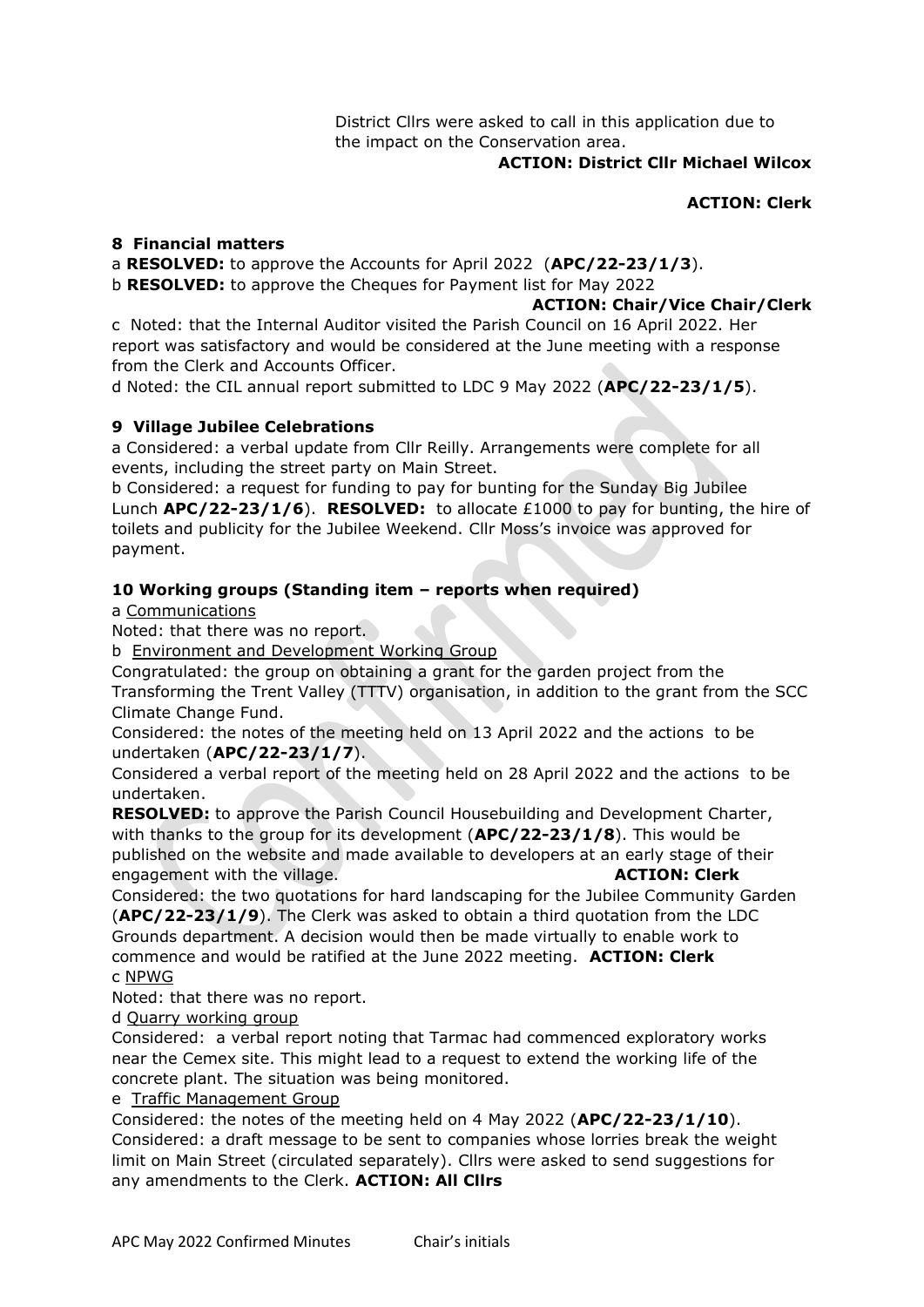District Cllrs were asked to call in this application due to the impact on the Conservation area.

#### **ACTION: District Cllr Michael Wilcox**

**ACTION: Clerk**

# **8 Financial matters**

a **RESOLVED:** to approve the Accounts for April 2022 (**APC/22-23/1/3**).

b **RESOLVED:** to approve the Cheques for Payment list for May 2022

# **ACTION: Chair/Vice Chair/Clerk**

c Noted: that the Internal Auditor visited the Parish Council on 16 April 2022. Her report was satisfactory and would be considered at the June meeting with a response from the Clerk and Accounts Officer.

d Noted: the CIL annual report submitted to LDC 9 May 2022 (**APC/22-23/1/5**).

#### **9 Village Jubilee Celebrations**

a Considered: a verbal update from Cllr Reilly. Arrangements were complete for all events, including the street party on Main Street.

b Considered: a request for funding to pay for bunting for the Sunday Big Jubilee Lunch **APC/22-23/1/6**). **RESOLVED:** to allocate £1000 to pay for bunting, the hire of toilets and publicity for the Jubilee Weekend. Cllr Moss's invoice was approved for payment.

# **10 Working groups (Standing item – reports when required)**

a Communications

Noted: that there was no report.

b Environment and Development Working Group

Congratulated: the group on obtaining a grant for the garden project from the Transforming the Trent Valley (TTTV) organisation, in addition to the grant from the SCC Climate Change Fund.

Considered: the notes of the meeting held on 13 April 2022 and the actions to be undertaken (**APC/22-23/1/7**).

Considered a verbal report of the meeting held on 28 April 2022 and the actions to be undertaken.

**RESOLVED:** to approve the Parish Council Housebuilding and Development Charter, with thanks to the group for its development (**APC/22-23/1/8**). This would be published on the website and made available to developers at an early stage of their engagement with the village. **ACTION: Clerk**

Considered: the two quotations for hard landscaping for the Jubilee Community Garden (**APC/22-23/1/9**). The Clerk was asked to obtain a third quotation from the LDC Grounds department. A decision would then be made virtually to enable work to commence and would be ratified at the June 2022 meeting. **ACTION: Clerk** c NPWG

Noted: that there was no report.

d Quarry working group

Considered: a verbal report noting that Tarmac had commenced exploratory works near the Cemex site. This might lead to a request to extend the working life of the concrete plant. The situation was being monitored.

e Traffic Management Group

Considered: the notes of the meeting held on 4 May 2022 (**APC/22-23/1/10**). Considered: a draft message to be sent to companies whose lorries break the weight limit on Main Street (circulated separately). Cllrs were asked to send suggestions for any amendments to the Clerk. **ACTION: All Cllrs**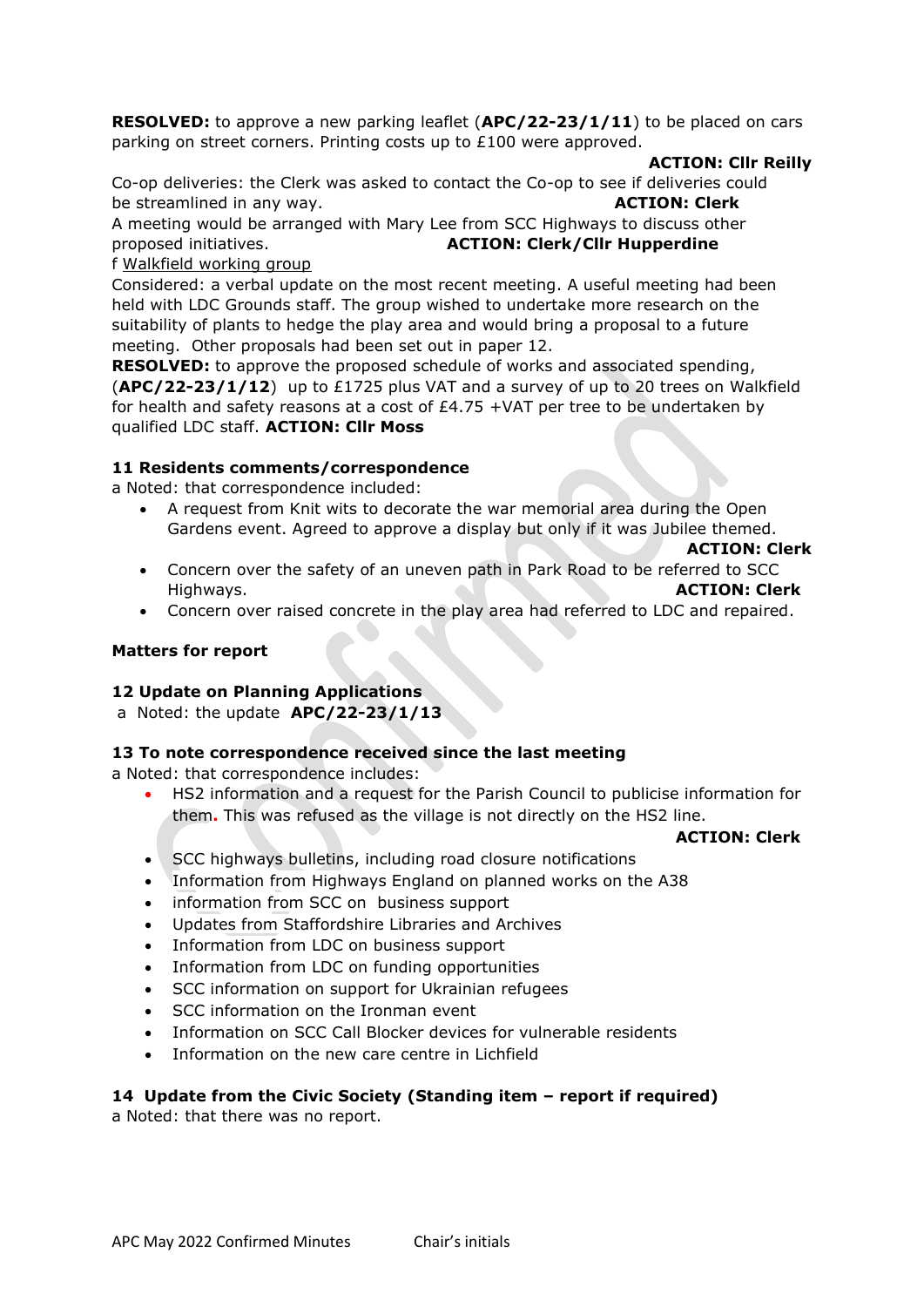**RESOLVED:** to approve a new parking leaflet (**APC/22-23/1/11**) to be placed on cars parking on street corners. Printing costs up to £100 were approved.

**ACTION: Cllr Reilly**

Co-op deliveries: the Clerk was asked to contact the Co-op to see if deliveries could be streamlined in any way. **ACTION: Clerk**

A meeting would be arranged with Mary Lee from SCC Highways to discuss other proposed initiatives. **ACTION: Clerk/Cllr Hupperdine**

f Walkfield working group

Considered: a verbal update on the most recent meeting. A useful meeting had been held with LDC Grounds staff. The group wished to undertake more research on the suitability of plants to hedge the play area and would bring a proposal to a future meeting. Other proposals had been set out in paper 12.

**RESOLVED:** to approve the proposed schedule of works and associated spending, (**APC/22-23/1/12**) up to £1725 plus VAT and a survey of up to 20 trees on Walkfield for health and safety reasons at a cost of  $£4.75 + VAT$  per tree to be undertaken by qualified LDC staff. **ACTION: Cllr Moss**

#### **11 Residents comments/correspondence**

a Noted: that correspondence included:

• A request from Knit wits to decorate the war memorial area during the Open Gardens event. Agreed to approve a display but only if it was Jubilee themed.

#### **ACTION: Clerk**

- Concern over the safety of an uneven path in Park Road to be referred to SCC Highways. **ACTION: Clerk**
- Concern over raised concrete in the play area had referred to LDC and repaired.

# **Matters for report**

# **12 Update on Planning Applications**

aNoted: the update **APC/22-23/1/13**

# **13 To note correspondence received since the last meeting**

a Noted: that correspondence includes:

• HS2 information and a request for the Parish Council to publicise information for them**.** This was refused as the village is not directly on the HS2 line.

**ACTION: Clerk**

- SCC highways bulletins, including road closure notifications
- Information from Highways England on planned works on the A38
- information from SCC on business support
- Updates from Staffordshire Libraries and Archives
- Information from LDC on business support
- Information from LDC on funding opportunities
- SCC information on support for Ukrainian refugees
- SCC information on the Ironman event
- Information on SCC Call Blocker devices for vulnerable residents
- Information on the new care centre in Lichfield

# **14 Update from the Civic Society (Standing item – report if required)**

a Noted: that there was no report.